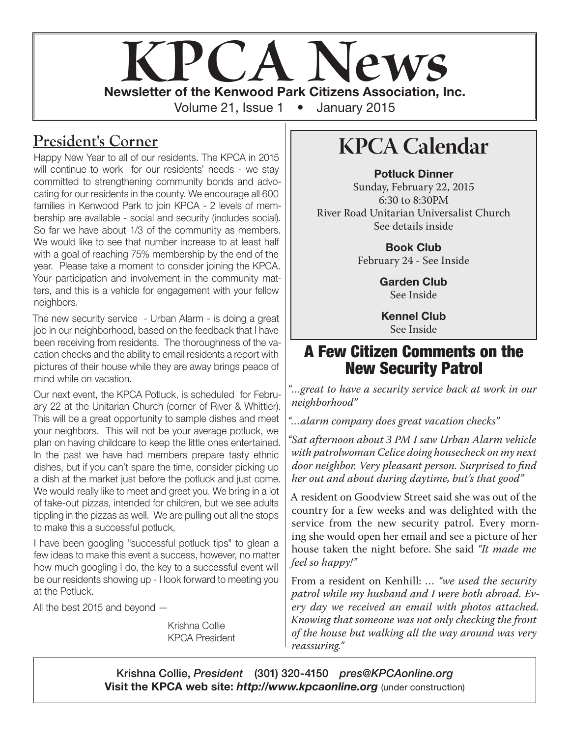

## **President's Corner**

Happy New Year to all of our residents. The KPCA in 2015 will continue to work for our residents' needs - we stay committed to strengthening community bonds and advocating for our residents in the county. We encourage all 600 families in Kenwood Park to join KPCA - 2 levels of membership are available - social and security (includes social). So far we have about 1/3 of the community as members. We would like to see that number increase to at least half with a goal of reaching 75% membership by the end of the year. Please take a moment to consider joining the KPCA. Your participation and involvement in the community matters, and this is a vehicle for engagement with your fellow neighbors.

The new security service - Urban Alarm - is doing a great job in our neighborhood, based on the feedback that I have been receiving from residents. The thoroughness of the vacation checks and the ability to email residents a report with pictures of their house while they are away brings peace of mind while on vacation.

Our next event, the KPCA Potluck, is scheduled for February 22 at the Unitarian Church (corner of River & Whittier). This will be a great opportunity to sample dishes and meet your neighbors. This will not be your average potluck, we plan on having childcare to keep the little ones entertained. In the past we have had members prepare tasty ethnic dishes, but if you can't spare the time, consider picking up a dish at the market just before the potluck and just come. We would really like to meet and greet you. We bring in a lot of take-out pizzas, intended for children, but we see adults tippling in the pizzas as well. We are pulling out all the stops to make this a successful potluck,

I have been googling "successful potluck tips" to glean a few ideas to make this event a success, however, no matter how much googling I do, the key to a successful event will be our residents showing up - I look forward to meeting you at the Potluck.

All the best 2015 and beyond —

Krishna Collie KPCA President

# **KPCA Calendar**

Potluck Dinner Sunday, February 22, 2015 6:30 to 8:30PM River Road Unitarian Universalist Church See details inside

> Book Club February 24 - See Inside

> > Garden Club See Inside

Kennel Club See Inside

#### A Few Citizen Comments on the New Security Patrol

"*…great to have a security service back at work in our neighborhood"*

*"…alarm company does great vacation checks"*

*"Sat afternoon about 3 PM I saw Urban Alarm vehicle with patrolwoman Celice doing housecheck on my next door neighbor. Very pleasant person. Surprised to find her out and about during daytime, but's that good"*

A resident on Goodview Street said she was out of the country for a few weeks and was delighted with the service from the new security patrol. Every morning she would open her email and see a picture of her house taken the night before. She said *"It made me feel so happy!"*

From a resident on Kenhill: … *"we used the security patrol while my husband and I were both abroad. Every day we received an email with photos attached. Knowing that someone was not only checking the front of the house but walking all the way around was very reassuring."*

Krishna Collie, *President* (301) 320-4150 *pres@KPCAonline.org* Visit the KPCA web site: *http://www.kpcaonline.org* (under construction)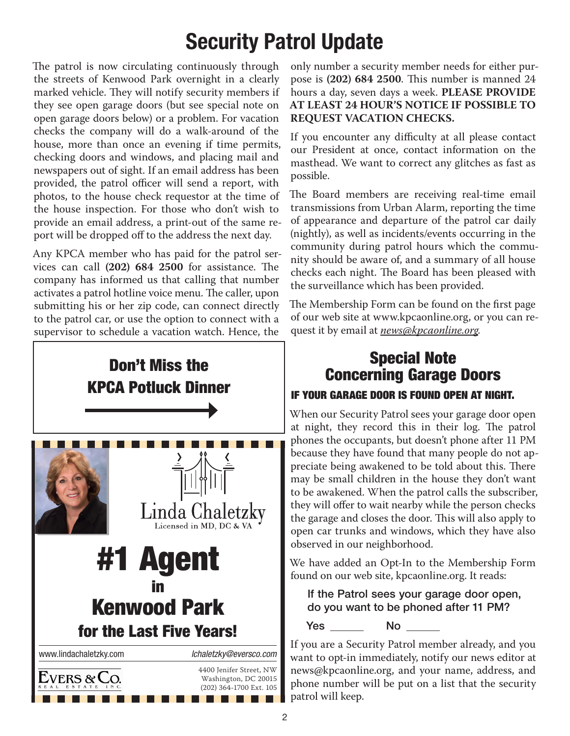# Security Patrol Update

The patrol is now circulating continuously through the streets of Kenwood Park overnight in a clearly marked vehicle. They will notify security members if they see open garage doors (but see special note on open garage doors below) or a problem. For vacation checks the company will do a walk-around of the house, more than once an evening if time permits, checking doors and windows, and placing mail and newspapers out of sight. If an email address has been provided, the patrol officer will send a report, with photos, to the house check requestor at the time of the house inspection. For those who don't wish to provide an email address, a print-out of the same report will be dropped off to the address the next day.

Any KPCA member who has paid for the patrol services can call **(202) 684 2500** for assistance. The company has informed us that calling that number activates a patrol hotline voice menu. The caller, upon submitting his or her zip code, can connect directly to the patrol car, or use the option to connect with a supervisor to schedule a vacation watch. Hence, the



only number a security member needs for either purpose is **(202) 684 2500**. This number is manned 24 hours a day, seven days a week. **PLEASE PROVIDE AT LEAST 24 HOUR'S NOTICE IF POSSIBLE TO REQUEST VACATION CHECKS.**

If you encounter any difficulty at all please contact our President at once, contact information on the masthead. We want to correct any glitches as fast as possible.

The Board members are receiving real-time email transmissions from Urban Alarm, reporting the time of appearance and departure of the patrol car daily (nightly), as well as incidents/events occurring in the community during patrol hours which the community should be aware of, and a summary of all house checks each night. The Board has been pleased with the surveillance which has been provided.

The Membership Form can be found on the first page of our web site at www.kpcaonline.org, or you can request it by email at *news@kpcaonline.org.*

#### Special Note Concerning Garage Doors

#### IF YOUR GARAGE DOOR IS FOUND OPEN AT NIGHT.

When our Security Patrol sees your garage door open at night, they record this in their log. The patrol phones the occupants, but doesn't phone after 11 PM because they have found that many people do not appreciate being awakened to be told about this. There may be small children in the house they don't want to be awakened. When the patrol calls the subscriber, they will offer to wait nearby while the person checks the garage and closes the door. This will also apply to open car trunks and windows, which they have also observed in our neighborhood.

We have added an Opt-In to the Membership Form found on our web site, kpcaonline.org. It reads:

If the Patrol sees your garage door open, do you want to be phoned after 11 PM?

Yes No

If you are a Security Patrol member already, and you

want to opt-in immediately, notify our news editor at news@kpcaonline.org, and your name, address, and phone number will be put on a list that the security patrol will keep.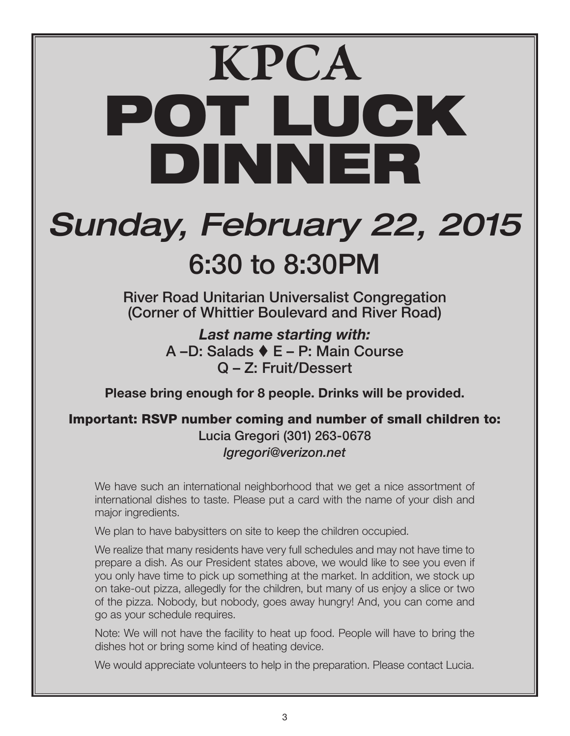# **KPCA** POT LUCK DINNER

# *Sunday, February 22, 2015* 6:30 to 8:30PM

River Road Unitarian Universalist Congregation (Corner of Whittier Boulevard and River Road)

> *Last name starting with:* A –D: Salads E – P: Main Course Q – Z: Fruit/Dessert

Please bring enough for 8 people. Drinks will be provided.

Important: RSVP number coming and number of small children to: Lucia Gregori (301) 263-0678 *lgregori@verizon.net*

We have such an international neighborhood that we get a nice assortment of international dishes to taste. Please put a card with the name of your dish and major ingredients.

We plan to have babysitters on site to keep the children occupied.

We realize that many residents have very full schedules and may not have time to prepare a dish. As our President states above, we would like to see you even if you only have time to pick up something at the market. In addition, we stock up on take-out pizza, allegedly for the children, but many of us enjoy a slice or two of the pizza. Nobody, but nobody, goes away hungry! And, you can come and go as your schedule requires.

Note: We will not have the facility to heat up food. People will have to bring the dishes hot or bring some kind of heating device.

We would appreciate volunteers to help in the preparation. Please contact Lucia.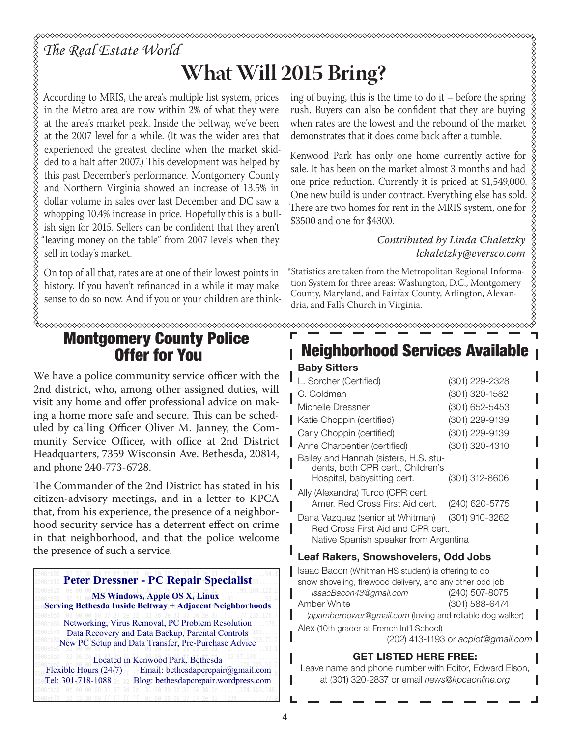# *The Real Estate World*

# **What Will 2015 Bring?**

According to MRIS, the area's multiple list system, prices in the Metro area are now within 2% of what they were at the area's market peak. Inside the beltway, we've been at the 2007 level for a while. (It was the wider area that experienced the greatest decline when the market skidded to a halt after 2007.) This development was helped by this past December's performance. Montgomery County and Northern Virginia showed an increase of 13.5% in dollar volume in sales over last December and DC saw a whopping 10.4% increase in price. Hopefully this is a bullish sign for 2015. Sellers can be confident that they aren't "leaving money on the table" from 2007 levels when they sell in today's market.

On top of all that, rates are at one of their lowest points in history. If you haven't refinanced in a while it may make sense to do so now. And if you or your children are thinking of buying, this is the time to do it – before the spring rush. Buyers can also be confident that they are buying when rates are the lowest and the rebound of the market demonstrates that it does come back after a tumble.

Kenwood Park has only one home currently active for sale. It has been on the market almost 3 months and had one price reduction. Currently it is priced at \$1,549,000. One new build is under contract. Everything else has sold. There are two homes for rent in the MRIS system, one for \$3500 and one for \$4300.

#### *Contributed by Linda Chaletzky lchaletzky@eversco.com*

,,,,,,,,,,,,,,,,,,,,

\*Statistics are taken from the Metropolitan Regional Information System for three areas: Washington, D.C., Montgomery County, Maryland, and Fairfax County, Arlington, Alexandria, and Falls Church in Virginia.

#### Montgomery County Police Offer for You

We have a police community service officer with the 2nd district, who, among other assigned duties, will visit any home and offer professional advice on making a home more safe and secure. This can be scheduled by calling Officer Oliver M. Janney, the Community Service Officer, with office at 2nd District Headquarters, 7359 Wisconsin Ave. Bethesda, 20814, and phone 240-773-6728.

The Commander of the 2nd District has stated in his citizen-advisory meetings, and in a letter to KPCA that, from his experience, the presence of a neighborhood security service has a deterrent effect on crime in that neighborhood, and that the police welcome the presence of such a service.

#### **Peter Dressner - PC Repair Specialist**

 **MS Windows, Apple OS X, Linux Serving Bethesda Inside Beltway + Adjacent Neighborhoods**

Networking, Virus Removal, PC Problem Resolution Data Recovery and Data Backup, Parental Controls New PC Setup and Data Transfer, Pre-Purchase Advice

Located in Kenwood Park, Bethesda Flexible Hours (24/7) Email: bethesdapcrepair@gmail.com Tel: 301-718-1088 2e 32 Blog: bethesdapcrepair.wordpress.com

# Neighborhood Services Available

#### Baby Sitters L. Sorcher (Certified) (301) 229-2328 C. Goldman (301) 320-1582 Michelle Dressner (301) 652-5453 Katie Choppin (certified) (301) 229-9139 Carly Choppin (certified) (301) 229-9139 Anne Charpentier (certified) (301) 320-4310 Bailey and Hannah (sisters, H.S. students, both CPR cert., Children's Hospital, babysitting cert. (301) 312-8606 Ally (Alexandra) Turco (CPR cert. Amer. Red Cross First Aid cert. (240) 620-5775 Dana Vazquez (senior at Whitman) (301) 910-3262 Red Cross First Aid and CPR cert. Native Spanish speaker from Argentina

#### Leaf Rakers, Snowshovelers, Odd Jobs

Isaac Bacon (Whitman HS student) is offering to do snow shoveling, firewood delivery, and any other odd job *IsaacBacon43@gmail.com* (240) 507-8075 Amber White (301) 588-6474

(*apamberpower@gmail.com* (loving and reliable dog walker) Alex (10th grader at French Int'l School)

(202) 413-1193 or *acpiot@gmail.com*

#### GET LISTED HERE FREE:

Leave name and phone number with Editor, Edward Elson, at (301) 320-2837 or email *news@kpcaonline.org*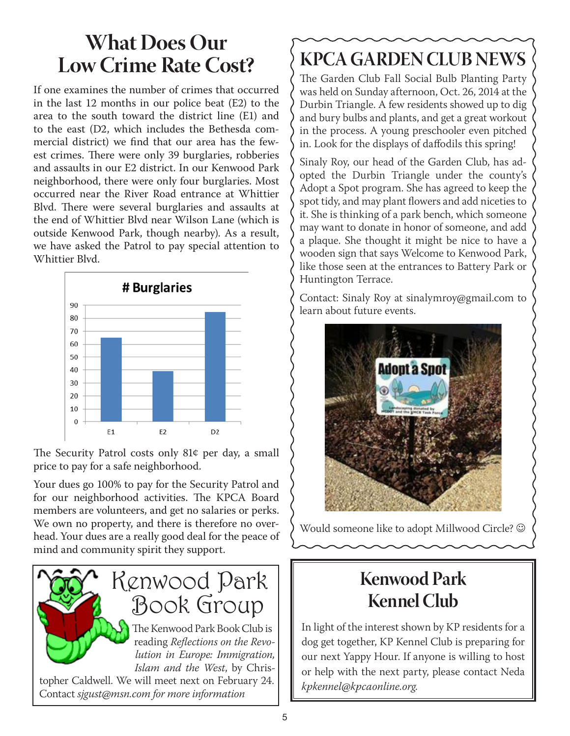# **What Does Our Low Crime Rate Cost?**

If one examines the number of crimes that occurred in the last 12 months in our police beat (E2) to the area to the south toward the district line (E1) and to the east (D2, which includes the Bethesda commercial district) we find that our area has the fewest crimes. There were only 39 burglaries, robberies and assaults in our E2 district. In our Kenwood Park neighborhood, there were only four burglaries. Most occurred near the River Road entrance at Whittier Blvd. There were several burglaries and assaults at the end of Whittier Blvd near Wilson Lane (which is outside Kenwood Park, though nearby). As a result, we have asked the Patrol to pay special attention to Whittier Blvd.



The Security Patrol costs only 81¢ per day, a small price to pay for a safe neighborhood.

Your dues go 100% to pay for the Security Patrol and for our neighborhood activities. The KPCA Board members are volunteers, and get no salaries or perks. We own no property, and there is therefore no overhead. Your dues are a really good deal for the peace of mind and community spirit they support.



# **KPCA GARDEN CLUB NEWS**

The Garden Club Fall Social Bulb Planting Party was held on Sunday afternoon, Oct. 26, 2014 at the Durbin Triangle. A few residents showed up to dig and bury bulbs and plants, and get a great workout in the process. A young preschooler even pitched in. Look for the displays of daffodils this spring!

Sinaly Roy, our head of the Garden Club, has adopted the Durbin Triangle under the county's Adopt a Spot program. She has agreed to keep the spot tidy, and may plant flowers and add niceties to it. She is thinking of a park bench, which someone may want to donate in honor of someone, and add a plaque. She thought it might be nice to have a wooden sign that says Welcome to Kenwood Park, like those seen at the entrances to Battery Park or Huntington Terrace.

Contact: Sinaly Roy at sinalymroy@gmail.com to learn about future events.



Would someone like to adopt Millwood Circle?  $©$ 

# **Kenwood Park Kennel Club**

In light of the interest shown by KP residents for a dog get together, KP Kennel Club is preparing for our next Yappy Hour. If anyone is willing to host or help with the next party, please contact Neda *kpkennel@kpcaonline.org.*